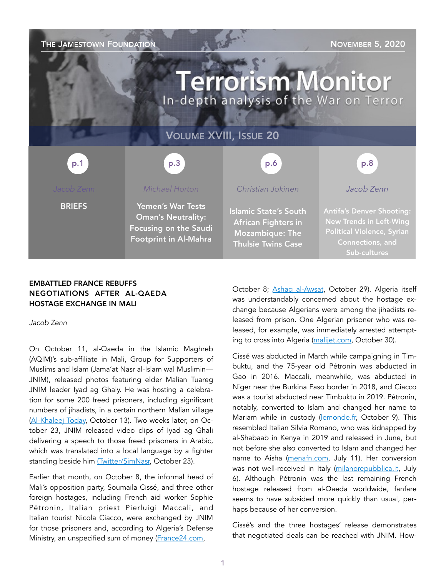### THE JAMESTOWN FOUNDATION NOVEMBER 5, 2020

# **Terrorism Monitor** In-depth analysis of the War on Terror

### VOLUME XVIII, ISSUE 20

p.1 p.1 p.3 p.3 p.3 p.6 p.6 p.8 p.8

**BRIEFS** 

### *Michael Horton*

p.3

Yemen's War Tests Oman's Neutrality: Focusing on the Saudi Footprint in Al-Mahra

### *Christian Jokinen*

Islamic State's South African Fighters in Mozambique: The Thulsie Twins Case

Antifa's Denver Shooting: New Trends in Left-Wing Political Violence, Syrian

*Jacob Zenn* 

Connections, and Sub-cultures

### EMBATTLED FRANCE REBUFFS NEGOTIATIONS AFTER AL-QAEDA HOSTAGE EXCHANGE IN MALI

*Jacob Zenn* 

On October 11, al-Qaeda in the Islamic Maghreb (AQIM)'s sub-affiliate in Mali, Group for Supporters of Muslims and Islam (Jama'at Nasr al-Islam wal Muslimin— JNIM), released photos featuring elder Malian Tuareg JNIM leader Iyad ag Ghaly. He was hosting a celebration for some 200 freed prisoners, including significant numbers of jihadists, in a certain northern Malian village ([Al-Khaleej Today,](https://alkhaleejtoday.co/international/5114094/Did-a-jihadist-group-organize-a-feast-in-honor-of-prisoners.html) October 13). Two weeks later, on October 23, JNIM released video clips of Iyad ag Ghali delivering a speech to those freed prisoners in Arabic, which was translated into a local language by a fighter standing beside him [\(Twitter/SimNasr,](https://twitter.com/SimNasr/status/1319626990400557058) October 23).

Earlier that month, on October 8, the informal head of Mali's opposition party, Soumaila Cissé, and three other foreign hostages, including French aid worker Sophie Pétronin, Italian priest Pierluigi Maccali, and Italian tourist Nicola Ciacco, were exchanged by JNIM for those prisoners and, according to Algeria's Defense Ministry, an unspecified sum of money ([France24.com,](https://www.france24.com/fr/20201008-mali-l-otage-souma%C3%AFla-ciss%C3%A9-chef-de-l-opposition-lib%C3%A9r%C3%A9)

October 8; [Ashaq al-Awsat](https://english.aawsat.com/home/article/2593231/algeria-accuses-%E2%80%98foreign-parties%E2%80%99-negotiating-terrorists), October 29). Algeria itself was understandably concerned about the hostage exchange because Algerians were among the jihadists released from prison. One Algerian prisoner who was released, for example, was immediately arrested attempting to cross into Algeria ([malijet.com](http://malijet.com/actualite-politique-au-mali/flash-info/249178-alg%C3%A9rie-arrestation-d%E2%80%99un-terroriste-lib%C3%A9r%C3%A9-lors-de-la-lib%C3%A9ration.html), October 30).

Cissé was abducted in March while campaigning in Timbuktu, and the 75-year old Pétronin was abducted in Gao in 2016. Maccali, meanwhile, was abducted in Niger near the Burkina Faso border in 2018, and Ciacco was a tourist abducted near Timbuktu in 2019. Pétronin, notably, converted to Islam and changed her name to Mariam while in custody ([lemonde.fr,](https://www.lemonde.fr/international/article/2020/10/09/sophie-petronin-est-a-bord-de-l-avion-en-route-pour-la-france_6055395_3210.html) October 9). This resembled Italian Silvia Romano, who was kidnapped by al-Shabaab in Kenya in 2019 and released in June, but not before she also converted to Islam and changed her name to Aisha [\(menafn.com,](https://menafn.com/1100467797/Aisha-Silvia-Romano-Articulates-Why-She-Became-a-Devout-Muslim-In-1st-interview) July 11). Her conversion was not well-received in Italy [\(milanorepubblica.it](https://milano.repubblica.it/cronaca/2020/07/06/news/silvia_romano_rapita_milano_aisha_conversione_islam-261120301/), July 6). Although Pétronin was the last remaining French hostage released from al-Qaeda worldwide, fanfare seems to have subsided more quickly than usual, perhaps because of her conversion.

Cissé's and the three hostages' release demonstrates that negotiated deals can be reached with JNIM. How-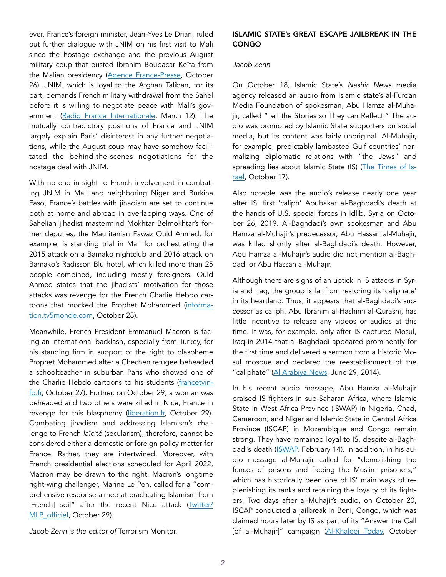ever, France's foreign minister, Jean-Yves Le Drian, ruled out further dialogue with JNIM on his first visit to Mali since the hostage exchange and the previous August military coup that ousted Ibrahim Boubacar Keïta from the Malian presidency ([Agence France-Presse](https://news.yahoo.com/french-fm-says-dialogue-mali-121117586.html), October 26). JNIM, which is loyal to the Afghan Taliban, for its part, demands French military withdrawal from the Sahel before it is willing to negotiate peace with Mali's government [\(Radio France Internationale](https://www.rfi.fr/en/international/20200312-mali-jihadists-demand-france-withdrawal-as-conditions-for-dialogue-anti-french-sentiment-ibk), March 12). The mutually contradictory positions of France and JNIM largely explain Paris' disinterest in any further negotiations, while the August coup may have somehow facilitated the behind-the-scenes negotiations for the hostage deal with JNIM.

With no end in sight to French involvement in combating JNIM in Mali and neighboring Niger and Burkina Faso, France's battles with jihadism are set to continue both at home and abroad in overlapping ways. One of Sahelian jihadist mastermind Mokhtar Belmokhtar's former deputies, the Mauritanian Fawaz Ould Ahmed, for example, is standing trial in Mali for orchestrating the 2015 attack on a Bamako nightclub and 2016 attack on Bamako's Radisson Blu hotel, which killed more than 25 people combined, including mostly foreigners. Ould Ahmed states that the jihadists' motivation for those attacks was revenge for the French Charlie Hebdo cartoons that mocked the Prophet Mohammed [\(informa](https://information.tv5monde.com/afrique/proces-des-attentats-de-bamako-en-2015-une-vengeance-apres-charlie-hebdo-381292)[tion.tv5monde.com](https://information.tv5monde.com/afrique/proces-des-attentats-de-bamako-en-2015-une-vengeance-apres-charlie-hebdo-381292), October 28).

Meanwhile, French President Emmanuel Macron is facing an international backlash, especially from Turkey, for his standing firm in support of the right to blaspheme Prophet Mohammed after a Chechen refugee beheaded a schoolteacher in suburban Paris who showed one of the Charlie Hebdo cartoons to his students ([francetvin](https://www.francetvinfo.fr/politique/emmanuel-macron/tensions-entre-paris-et-ankara-la-turquie-prend-des-positions-temeraires-mais-n-a-pas-beaucoup-d-allies-sur-le-long-terme_4156543.html)[fo.fr,](https://www.francetvinfo.fr/politique/emmanuel-macron/tensions-entre-paris-et-ankara-la-turquie-prend-des-positions-temeraires-mais-n-a-pas-beaucoup-d-allies-sur-le-long-terme_4156543.html) October 27). Further, on October 29, a woman was beheaded and two others were killed in Nice, France in revenge for this blasphemy ([liberation.fr,](https://www.liberation.fr/france/2020/10/29/attaque-au-couteau-dans-une-eglise-de-nice-au-moins-un-mort_1803824) October 29). Combating jihadism and addressing Islamism's challenge to French *laïcité* (secularism), therefore, cannot be considered either a domestic or foreign policy matter for France. Rather, they are intertwined. Moreover, with French presidential elections scheduled for April 2022, Macron may be drawn to the right. Macron's longtime right-wing challenger, Marine Le Pen, called for a "comprehensive response aimed at eradicating Islamism from [French] soil" after the recent Nice attack [\(Twitter/](https://twitter.com/MLP_officiel/status/1321746282180972544) [MLP\\_officiel,](https://twitter.com/MLP_officiel/status/1321746282180972544) October 29).

*Jacob Zenn is the editor of* Terrorism Monitor.

### ISLAMIC STATE's GREAT ESCAPE JAILBREAK IN THE **CONGO**

### *Jacob Zenn*

On October 18, Islamic State's *Nashir News* media agency released an audio from Islamic state's al-Furqan Media Foundation of spokesman, Abu Hamza al-Muhajir, called "Tell the Stories so They can Reflect." The audio was promoted by Islamic State supporters on social media, but its content was fairly unoriginal. Al-Muhajir, for example, predictably lambasted Gulf countries' normalizing diplomatic relations with "the Jews" and spreading lies about Islamic State (IS) ([The Times of Is](https://www.timesofisrael.com/islamic-state-calls-to-attack-saudi-arabia-over-israels-deals-with-uae-bahrain/)[rael,](https://www.timesofisrael.com/islamic-state-calls-to-attack-saudi-arabia-over-israels-deals-with-uae-bahrain/) October 17).

Also notable was the audio's release nearly one year after IS' first 'caliph' Abubakar al-Baghdadi's death at the hands of U.S. special forces in Idlib, Syria on October 26, 2019. Al-Baghdadi's own spokesman and Abu Hamza al-Muhajir's predecessor, Abu Hassan al-Muhajir, was killed shortly after al-Baghdadi's death. However, Abu Hamza al-Muhajir's audio did not mention al-Baghdadi or Abu Hassan al-Muhajir.

Although there are signs of an uptick in IS attacks in Syria and Iraq, the group is far from restoring its 'caliphate' in its heartland. Thus, it appears that al-Baghdadi's successor as caliph, Abu Ibrahim al-Hashimi al-Qurashi, has little incentive to release any videos or audios at this time. It was, for example, only after IS captured Mosul, Iraq in 2014 that al-Baghdadi appeared prominently for the first time and delivered a sermon from a historic Mosul mosque and declared the reestablishment of the "caliphate" ([Al Arabiya News](https://english.alarabiya.net/en/News/2014/06/29/ISIS-jihadists-declare-caliphate-.html), June 29, 2014).

In his recent audio message, Abu Hamza al-Muhajir praised IS fighters in sub-Saharan Africa, where Islamic State in West Africa Province (ISWAP) in Nigeria, Chad, Cameroon, and Niger and Islamic State in Central Africa Province (ISCAP) in Mozambique and Congo remain strong. They have remained loyal to IS, despite al-Baghdadi's death ([ISWAP,](https://unmaskingbokoharam.com/2020/02/15/iswap-slay-them-wherever-you-catch-them-video-part-2-february-14-2020/) February 14). In addition, in his audio message al-Muhajir called for "demolishing the fences of prisons and freeing the Muslim prisoners," which has historically been one of IS' main ways of replenishing its ranks and retaining the loyalty of its fighters. Two days after al-Muhajir's audio, on October 20, ISCAP conducted a jailbreak in Beni, Congo, which was claimed hours later by IS as part of its "Answer the Call [of al-Muhajir]" campaign [\(Al-Khaleej Today,](https://alkhaleejtoday.co/international/5150606/DRC-massive-escape--Slate-Africa.html) October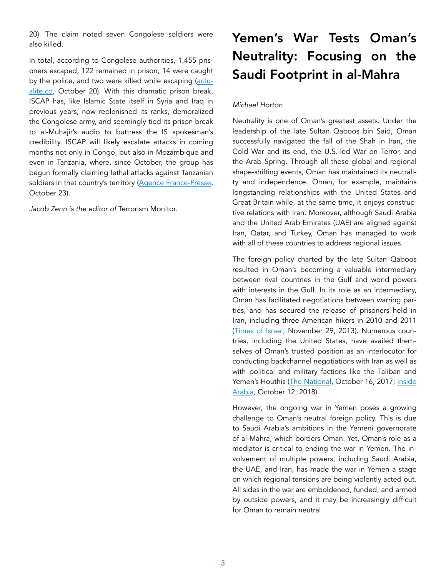20). The claim noted seven Congolese soldiers were also killed.

In total, according to Congolese authorities, 1,455 prisoners escaped, 122 remained in prison, 14 were caught by the police, and two were killed while escaping [\(actu](https://actualite.cd/2020/10/20/rdc-le-maire-de-beni-sollicite-lapport-de-la-population-pour-retrouver-des-centaines-de)[alite.cd,](https://actualite.cd/2020/10/20/rdc-le-maire-de-beni-sollicite-lapport-de-la-population-pour-retrouver-des-centaines-de) October 20). With this dramatic prison break, ISCAP has, like Islamic State itself in Syria and Iraq in previous years, now replenished its ranks, demoralized the Congolese army, and seemingly tied its prison break to al-Muhajir's audio to buttress the IS spokesman's credibility. ISCAP will likely escalate attacks in coming months not only in Congo, but also in Mozambique and even in Tanzania, where, since October, the group has begun formally claiming lethal attacks against Tanzanian soldiers in that country's territory ([Agence France-Presse,](https://www.news24.com/news24/africa/news/tanzania-hit-by-recent-isis-attack-near-mozambique-border-20201023) October 23).

*Jacob Zenn is the editor of* Terrorism Monitor.

### Yemen's War Tests Oman's Neutrality: Focusing on the Saudi Footprint in al-Mahra

### *Michael Horton*

Neutrality is one of Oman's greatest assets. Under the leadership of the late Sultan Qaboos bin Said, Oman successfully navigated the fall of the Shah in Iran, the Cold War and its end, the U.S.-led War on Terror, and the Arab Spring. Through all these global and regional shape-shifting events, Oman has maintained its neutrality and independence. Oman, for example, maintains longstanding relationships with the United States and Great Britain while, at the same time, it enjoys constructive relations with Iran. Moreover, although Saudi Arabia and the United Arab Emirates (UAE) are aligned against Iran, Qatar, and Turkey, Oman has managed to work with all of these countries to address regional issues.

The foreign policy charted by the late Sultan Qaboos resulted in Oman's becoming a valuable intermediary between rival countries in the Gulf and world powers with interests in the Gulf. In its role as an intermediary, Oman has facilitated negotiations between warring parties, and has secured the release of prisoners held in Iran, including three American hikers in 2010 and 2011 ([Times of Israel,](https://www.timesofisrael.com/us-freed-top-iranian-scientist-as-part-of-secret-talks-ahead-of-geneva-deal/) November 29, 2013). Numerous countries, including the United States, have availed themselves of Oman's trusted position as an interlocutor for conducting backchannel negotiations with Iran as well as with political and military factions like the Taliban and Yemen's Houthis ([The National](https://www.thenationalnews.com/world/asia/oman-hosts-meeting-on-afghanistan-peace-talks-1.667772), October 16, 2017; [Inside](https://insidearabia.com/oman-pragmatic-yemen-foreign-policy-peace/) [Arabia](https://insidearabia.com/oman-pragmatic-yemen-foreign-policy-peace/), October 12, 2018).

However, the ongoing war in Yemen poses a growing challenge to Oman's neutral foreign policy. This is due to Saudi Arabia's ambitions in the Yemeni governorate of al-Mahra, which borders Oman. Yet, Oman's role as a mediator is critical to ending the war in Yemen. The involvement of multiple powers, including Saudi Arabia, the UAE, and Iran, has made the war in Yemen a stage on which regional tensions are being violently acted out. All sides in the war are emboldened, funded, and armed by outside powers, and it may be increasingly difficult for Oman to remain neutral.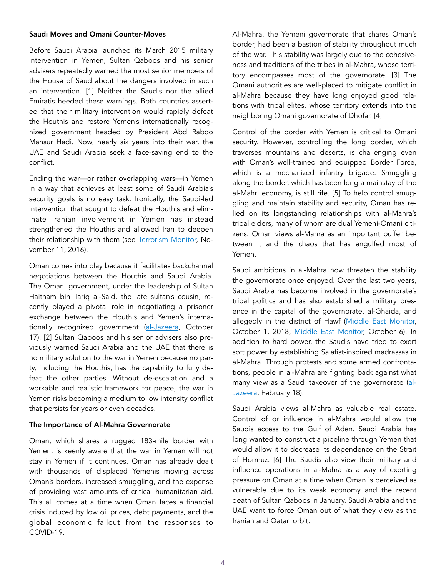### Saudi Moves and Omani Counter-Moves

Before Saudi Arabia launched its March 2015 military intervention in Yemen, Sultan Qaboos and his senior advisers repeatedly warned the most senior members of the House of Saud about the dangers involved in such an intervention. [1] Neither the Saudis nor the allied Emiratis heeded these warnings. Both countries asserted that their military intervention would rapidly defeat the Houthis and restore Yemen's internationally recognized government headed by President Abd Raboo Mansur Hadi. Now, nearly six years into their war, the UAE and Saudi Arabia seek a face-saving end to the conflict.

Ending the war—or rather overlapping wars—in Yemen in a way that achieves at least some of Saudi Arabia's security goals is no easy task. Ironically, the Saudi-led intervention that sought to defeat the Houthis and eliminate Iranian involvement in Yemen has instead strengthened the Houthis and allowed Iran to deepen their relationship with them (see [Terrorism Monitor,](https://jamestown.org/program/unwinnable-war-houthis-saudi-arabia-future-yemen/) November 11, 2016).

Oman comes into play because it facilitates backchannel negotiations between the Houthis and Saudi Arabia. The Omani government, under the leadership of Sultan Haitham bin Tariq al-Said, the late sultan's cousin, recently played a pivotal role in negotiating a prisoner exchange between the Houthis and Yemen's interna-tionally recognized government [\(al-Jazeera](https://www.aljazeera.com/news/2020/10/17/yemens-warring-sides-complete-largest-prisoner-swap), October 17). [2] Sultan Qaboos and his senior advisers also previously warned Saudi Arabia and the UAE that there is no military solution to the war in Yemen because no party, including the Houthis, has the capability to fully defeat the other parties. Without de-escalation and a workable and realistic framework for peace, the war in Yemen risks becoming a medium to low intensity conflict that persists for years or even decades.

### The Importance of Al-Mahra Governorate

Oman, which shares a rugged 183-mile border with Yemen, is keenly aware that the war in Yemen will not stay in Yemen if it continues. Oman has already dealt with thousands of displaced Yemenis moving across Oman's borders, increased smuggling, and the expense of providing vast amounts of critical humanitarian aid. This all comes at a time when Oman faces a financial crisis induced by low oil prices, debt payments, and the global economic fallout from the responses to COVID-19.

Al-Mahra, the Yemeni governorate that shares Oman's border, had been a bastion of stability throughout much of the war. This stability was largely due to the cohesiveness and traditions of the tribes in al-Mahra, whose territory encompasses most of the governorate. [3] The Omani authorities are well-placed to mitigate conflict in al-Mahra because they have long enjoyed good relations with tribal elites, whose territory extends into the neighboring Omani governorate of Dhofar. [4]

Control of the border with Yemen is critical to Omani security. However, controlling the long border, which traverses mountains and deserts, is challenging even with Oman's well-trained and equipped Border Force, which is a mechanized infantry brigade. Smuggling along the border, which has been long a mainstay of the al-Mahri economy, is still rife. [5] To help control smuggling and maintain stability and security, Oman has relied on its longstanding relationships with al-Mahra's tribal elders, many of whom are dual Yemeni-Omani citizens. Oman views al-Mahra as an important buffer between it and the chaos that has engulfed most of Yemen.

Saudi ambitions in al-Mahra now threaten the stability the governorate once enjoyed. Over the last two years, Saudi Arabia has become involved in the governorate's tribal politics and has also established a military presence in the capital of the governorate, al-Ghaida, and allegedly in the district of Hawf [\(Middle East Monitor,](https://www.middleeasteye.net/news/saudi-military-colonialism-sparks-protest-movement-yemens-east) October 1, 2018; [Middle East Monitor,](https://www.middleeastmonitor.com/20201006-saudis-establish-military-base-in-yemen-nature-reserve/) October 6). In addition to hard power, the Saudis have tried to exert soft power by establishing Salafist-inspired madrassas in al-Mahra. Through protests and some armed confrontations, people in al-Mahra are fighting back against what many view as a Saudi takeover of the governorate [\(al-](https://www.aljazeera.com/news/2020/2/18/tribal-forces-in-eastern-yemen-clash-with-saudis)[Jazeera](https://www.aljazeera.com/news/2020/2/18/tribal-forces-in-eastern-yemen-clash-with-saudis), February 18).

Saudi Arabia views al-Mahra as valuable real estate. Control of or influence in al-Mahra would allow the Saudis access to the Gulf of Aden. Saudi Arabia has long wanted to construct a pipeline through Yemen that would allow it to decrease its dependence on the Strait of Hormuz. [6] The Saudis also view their military and influence operations in al-Mahra as a way of exerting pressure on Oman at a time when Oman is perceived as vulnerable due to its weak economy and the recent death of Sultan Qaboos in January. Saudi Arabia and the UAE want to force Oman out of what they view as the Iranian and Qatari orbit.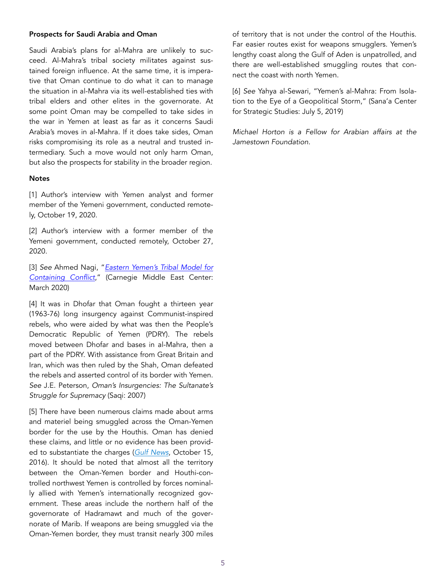### Prospects for Saudi Arabia and Oman

Saudi Arabia's plans for al-Mahra are unlikely to succeed. Al-Mahra's tribal society militates against sustained foreign influence. At the same time, it is imperative that Oman continue to do what it can to manage the situation in al-Mahra via its well-established ties with tribal elders and other elites in the governorate. At some point Oman may be compelled to take sides in the war in Yemen at least as far as it concerns Saudi Arabia's moves in al-Mahra. If it does take sides, Oman risks compromising its role as a neutral and trusted intermediary. Such a move would not only harm Oman, but also the prospects for stability in the broader region.

#### **Notes**

[1] Author's interview with Yemen analyst and former member of the Yemeni government, conducted remotely, October 19, 2020.

[2] Author's interview with a former member of the Yemeni government, conducted remotely, October 27, 2020.

[3] *See* Ahmed Nagi, "*[Eastern Yemen's Tribal Model for](https://carnegieendowment.org/files/Nagi_Yemen_Mahri1.pdf)  [Containing Conflict](https://carnegieendowment.org/files/Nagi_Yemen_Mahri1.pdf)*," (Carnegie Middle East Center: March 2020)

[4] It was in Dhofar that Oman fought a thirteen year (1963-76) long insurgency against Communist-inspired rebels, who were aided by what was then the People's Democratic Republic of Yemen (PDRY). The rebels moved between Dhofar and bases in al-Mahra, then a part of the PDRY. With assistance from Great Britain and Iran, which was then ruled by the Shah, Oman defeated the rebels and asserted control of its border with Yemen. *See* J.E. Peterson, *Oman's Insurgencies: The Sultanate's Struggle for Supremacy* (Saqi: 2007)

[5] There have been numerous claims made about arms and materiel being smuggled across the Oman-Yemen border for the use by the Houthis. Oman has denied these claims, and little or no evidence has been provided to substantiate the charges (*[Gulf News](https://gulfnews.com/world/gulf/oman/oman-denies-weapon-smuggling-into-yemen-1.1912960)*, October 15, 2016). It should be noted that almost all the territory between the Oman-Yemen border and Houthi-controlled northwest Yemen is controlled by forces nominally allied with Yemen's internationally recognized government. These areas include the northern half of the governorate of Hadramawt and much of the governorate of Marib. If weapons are being smuggled via the Oman-Yemen border, they must transit nearly 300 miles of territory that is not under the control of the Houthis. Far easier routes exist for weapons smugglers. Yemen's lengthy coast along the Gulf of Aden is unpatrolled, and there are well-established smuggling routes that connect the coast with north Yemen.

[6] *See* Yahya al-Sewari, "Yemen's al-Mahra: From Isolation to the Eye of a Geopolitical Storm," (Sana'a Center for Strategic Studies: July 5, 2019)

*Michael Horton is a Fellow for Arabian affairs at the Jamestown Foundation.*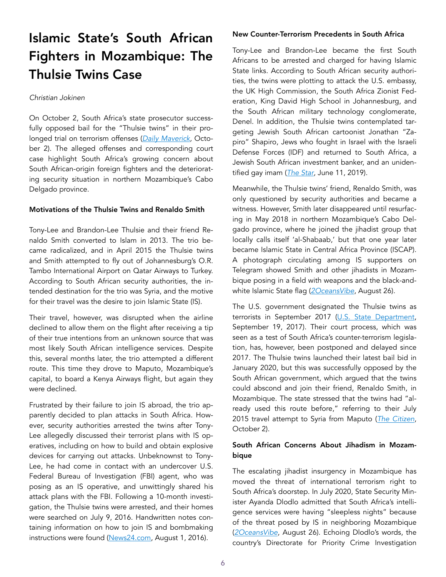## Islamic State's South African Fighters in Mozambique: The Thulsie Twins Case

### *Christian Jokinen*

On October 2, South Africa's state prosecutor successfully opposed bail for the "Thulsie twins" in their prolonged trial on terrorism offenses (*[Daily Maverick,](https://www.dailymaverick.co.za/article/2020-10-02-thulsie-twins-denied-bail/)* October 2). The alleged offenses and corresponding court case highlight South Africa's growing concern about South African-origin foreign fighters and the deteriorating security situation in northern Mozambique's Cabo Delgado province.

### Motivations of the Thulsie Twins and Renaldo Smith

Tony-Lee and Brandon-Lee Thulsie and their friend Renaldo Smith converted to Islam in 2013. The trio became radicalized, and in April 2015 the Thulsie twins and Smith attempted to fly out of Johannesburg's O.R. Tambo International Airport on Qatar Airways to Turkey. According to South African security authorities, the intended destination for the trio was Syria, and the motive for their travel was the desire to join Islamic State (IS).

Their travel, however, was disrupted when the airline declined to allow them on the flight after receiving a tip of their true intentions from an unknown source that was most likely South African intelligence services. Despite this, several months later, the trio attempted a different route. This time they drove to Maputo, Mozambique's capital, to board a Kenya Airways flight, but again they were declined.

Frustrated by their failure to join IS abroad, the trio apparently decided to plan attacks in South Africa. However, security authorities arrested the twins after Tony-Lee allegedly discussed their terrorist plans with IS operatives, including on how to build and obtain explosive devices for carrying out attacks. Unbeknownst to Tony-Lee, he had come in contact with an undercover U.S. Federal Bureau of Investigation (FBI) agent, who was posing as an IS operative, and unwittingly shared his attack plans with the FBI. Following a 10-month investigation, the Thulsie twins were arrested, and their homes were searched on July 9, 2016. Handwritten notes containing information on how to join IS and bombmaking instructions were found [\(News24.com](https://www.news24.com/news24/southafrica/news/terror-accused-twin-communicated-with-isis-court-told-20160801), August 1, 2016).

### New Counter-Terrorism Precedents in South Africa

Tony-Lee and Brandon-Lee became the first South Africans to be arrested and charged for having Islamic State links. According to South African security authorities, the twins were plotting to attack the U.S. embassy, the UK High Commission, the South Africa Zionist Federation, King David High School in Johannesburg, and the South African military technology conglomerate, Denel. In addition, the Thulsie twins contemplated targeting Jewish South African cartoonist Jonathan "Zapiro" Shapiro, Jews who fought in Israel with the Israeli Defense Forces (IDF) and returned to South Africa, a Jewish South African investment banker, and an unidentified gay imam (*[The Star](https://www.iol.co.za/the-star/news/tight-security-as-terrorism-accused-thulsie-twins-appear-in-court-25931134)*, June 11, 2019).

Meanwhile, the Thulsie twins' friend, Renaldo Smith, was only questioned by security authorities and became a witness. However, Smith later disappeared until resurfacing in May 2018 in northern Mozambique's Cabo Delgado province, where he joined the jihadist group that locally calls itself 'al-Shabaab,' but that one year later became Islamic State in Central Africa Province (ISCAP). A photograph circulating among IS supporters on Telegram showed Smith and other jihadists in Mozambique posing in a field with weapons and the black-andwhite Islamic State flag (*[2OceansVibe](https://www.2oceansvibe.com/2020/08/26/chilling-links-between-mozambique-isis-and-south-africa/)*, August 26).

The U.S. government designated the Thulsie twins as terrorists in September 2017 [\(U.S. State Department](https://www.state.gov/state-department-terrorist-designations-of-tony-lee-thulsie-and-brandon-lee-thulsie/), September 19, 2017). Their court process, which was seen as a test of South Africa's counter-terrorism legislation, has, however, been postponed and delayed since 2017. The Thulsie twins launched their latest bail bid in January 2020, but this was successfully opposed by the South African government, which argued that the twins could abscond and join their friend, Renaldo Smith, in Mozambique. The state stressed that the twins had "already used this route before," referring to their July 2015 travel attempt to Syria from Maputo (*[The Citizen](https://citizen.co.za/news/south-africa/courts/2365337/thulsie-twins-stay-in-jail-as-bail-bid-fails/)*, October 2).

### South African Concerns About Jihadism in Mozambique

The escalating jihadist insurgency in Mozambique has moved the threat of international terrorism right to South Africa's doorstep. In July 2020, State Security Minister Ayanda Dlodlo admitted that South Africa's intelligence services were having "sleepless nights" because of the threat posed by IS in neighboring Mozambique (*[2OceansVibe](https://www.2oceansvibe.com/2020/08/26/chilling-links-between-mozambique-isis-and-south-africa/)*, August 26). Echoing Dlodlo's words, the country's Directorate for Priority Crime Investigation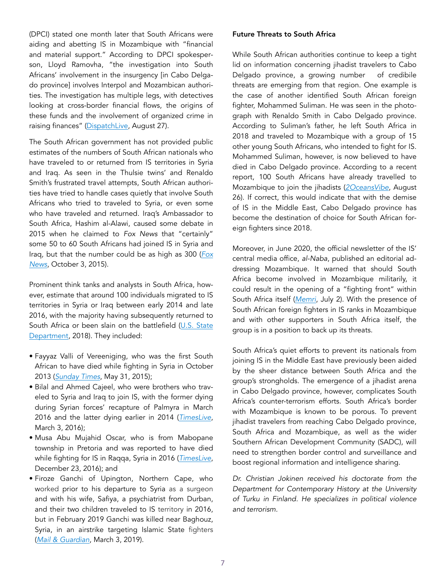(DPCI) stated one month later that South Africans were aiding and abetting IS in Mozambique with "financial and material support." According to DPCI spokesperson, Lloyd Ramovha, "the investigation into South Africans' involvement in the insurgency [in Cabo Delgado province] involves Interpol and Mozambican authorities. The investigation has multiple legs, with detectives looking at cross-border financial flows, the origins of these funds and the involvement of organized crime in raising finances" ([DispatchLive,](https://www.dispatchlive.co.za/africa/2020-08-27-is-terror-group-in-mozambique-is-getting-manpower-money-from-south-africa-hawks/) August 27).

The South African government has not provided public estimates of the numbers of South African nationals who have traveled to or returned from IS territories in Syria and Iraq. As seen in the Thulsie twins' and Renaldo Smith's frustrated travel attempts, South African authorities have tried to handle cases quietly that involve South Africans who tried to traveled to Syria, or even some who have traveled and returned. Iraq's Ambassador to South Africa, Hashim al-Alawi, caused some debate in 2015 when he claimed to *Fox News* that "certainly" some 50 to 60 South Africans had joined IS in Syria and Iraq, but that the number could be as high as 300 (*[Fox](https://www.foxnews.com/world/south-africa-increasingly-seen-as-key-isis-pipeline-for-jihadis-cash)  [News](https://www.foxnews.com/world/south-africa-increasingly-seen-as-key-isis-pipeline-for-jihadis-cash)*, October 3, 2015).

Prominent think tanks and analysts in South Africa, however, estimate that around 100 individuals migrated to IS territories in Syria or Iraq between early 2014 and late 2016, with the majority having subsequently returned to South Africa or been slain on the battlefield (U.S. State Department, 2018). They included:

- Fayyaz Valli of Vereeniging, who was the first South African to have died while fighting in Syria in October 2013 (*[Sunday Times](https://www.pressreader.com/south-africa/sunday-times-1107/20150531/281719793186892)*, May 31, 2015);
- Bilal and Ahmed Cajeel, who were brothers who traveled to Syria and Iraq to join IS, with the former dying during Syrian forces' recapture of Palmyra in March 2016 and the latter dying earlier in 2014 (*[TimesLive](https://www.timeslive.co.za/news/south-africa/2016-04-03-south-african-said-to-have-been-among-isis-fighters-killed-in-recapture-of-palymyra/)*, March 3, 2016);
- Musa Abu Mujahid Oscar, who is from Mabopane township in Pretoria and was reported to have died while fighting for IS in Raqqa, Syria in 2016 (*[TimesLive](https://www.timeslive.co.za/sunday-times/news/2016-12-23-township-man-dies-in-syria-fighting-for-is/)*, December 23, 2016); and
- Firoze Ganchi of Upington, Northern Cape, who worked prior to his departure to Syria as a surgeon and with his wife, Safiya, a psychiatrist from Durban, and their two children traveled to IS territory in 2016, but in February 2019 Ganchi was killed near Baghouz, Syria, in an airstrike targeting Islamic State fighters (*[Mail & Guardian](https://mg.co.za/article/2019-03-15-00-silence-surrounds-sa-doc-in-syria/)*, March 3, 2019).

### Future Threats to South Africa

While South African authorities continue to keep a tight lid on information concerning jihadist travelers to Cabo Delgado province, a growing number of credibile threats are emerging from that region. One example is the case of another identified South African foreign fighter, Mohammed Suliman. He was seen in the photograph with Renaldo Smith in Cabo Delgado province. According to Suliman's father, he left South Africa in 2018 and traveled to Mozambique with a group of 15 other young South Africans, who intended to fight for IS. Mohammed Suliman, however, is now believed to have died in Cabo Delgado province. According to a recent report, 100 South Africans have already travelled to Mozambique to join the jihadists (*[2OceansVibe](https://www.2oceansvibe.com/2020/08/26/chilling-links-between-mozambique-isis-and-south-africa/)*, August 26). If correct, this would indicate that with the demise of IS in the Middle East, Cabo Delgado province has become the destination of choice for South African foreign fighters since 2018.

Moreover, in June 2020, the official newsletter of the IS' central media office, *al-Naba*, published an editorial addressing Mozambique. It warned that should South Africa become involved in Mozambique militarily, it could result in the opening of a "fighting front" within South Africa itself (*[Memri](https://www.memri.org/jttm/isis-weekly-editorial-warns-crusaders-your-investments-mozambique-are-risk-caliphate-soldiers)*, July 2). With the presence of South African foreign fighters in IS ranks in Mozambique and with other supporters in South Africa itself, the group is in a position to back up its threats.

South Africa's quiet efforts to prevent its nationals from joining IS in the Middle East have previously been aided by the sheer distance between South Africa and the group's strongholds. The emergence of a jihadist arena in Cabo Delgado province, however, complicates South Africa's counter-terrorism efforts. South Africa's border with Mozambique is known to be porous. To prevent jihadist travelers from reaching Cabo Delgado province, South Africa and Mozambique, as well as the wider Southern African Development Community (SADC), will need to strengthen border control and surveillance and boost regional information and intelligence sharing.

*Dr. Christian Jokinen received his doctorate from the Department for Contemporary History at the University of Turku in Finland. He specializes in political violence and terrorism.*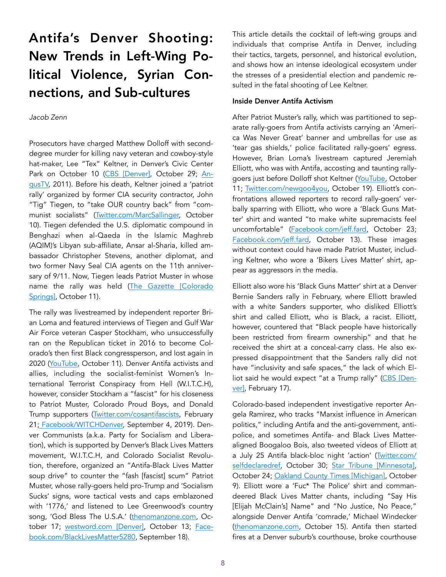## Antifa's Denver Shooting: New Trends in Left-Wing Political Violence, Syrian Connections, and Sub-cultures

### *Jacob Zenn*

Prosecutors have charged Matthew Dolloff with seconddegree murder for killing navy veteran and cowboy-style hat-maker, Lee "Tex" Keltner, in Denver's Civic Center Park on October 10 [\(CBS \[Denver\]](https://denver.cbslocal.com/2020/10/29/matthew-dolloff-lee-keltner-murder-protest-shooting-denver/), October 29; [An](https://www.youtube.com/watch?v=Hd-v99lqATg)[gusTV,](https://www.youtube.com/watch?v=Hd-v99lqATg) 2011). Before his death, Keltner joined a 'patriot rally' organized by former CIA security contractor, John "Tig" Tiegen, to "take OUR country back" from "communist socialists" [\(Twitter.com/MarcSallinger,](https://twitter.com/MarcSallinger/status/1315015610783408128) October 10). Tiegen defended the U.S. diplomatic compound in Benghazi when al-Qaeda in the Islamic Maghreb (AQIM)'s Libyan sub-affiliate, Ansar al-Sharia, killed ambassador Christopher Stevens, another diplomat, and two former Navy Seal CIA agents on the 11th anniversary of 9/11. Now, Tiegen leads Patriot Muster in whose name the rally was held ([The Gazette \[Colorado](https://gazette.com/premium/leader-of-patriots-protest-that-turned-deadly-in-denver-feared-by-blm-protesters-in-colorado/article_110e9796-0c0a-11eb-97d7-0b6262e1b0ab.html)  [Springs\],](https://gazette.com/premium/leader-of-patriots-protest-that-turned-deadly-in-denver-feared-by-blm-protesters-in-colorado/article_110e9796-0c0a-11eb-97d7-0b6262e1b0ab.html) October 11).

The rally was livestreamed by independent reporter Brian Loma and featured interviews of Tiegen and Gulf War Air Force veteran Casper Stockham, who unsuccessfully ran on the Republican ticket in 2016 to become Colorado's then first Black congressperson, and lost again in 2020 [\(YouTube](https://www.youtube.com/watch?v=NLVX-I11hww&feature=youtu.be&bpctr=1603359973), October 11). Denver Antifa activists and allies, including the socialist-feminist Women's International Terrorist Conspiracy from Hell (W.I.T.C.H), however, consider Stockham a "fascist" for his closeness to Patriot Muster, Colorado Proud Boys, and Donald Trump supporters [\(Twitter.com/cosantifascists,](https://twitter.com/cosantifascists/status/1230681133035159552?lang=en) February 21; [Facebook/WITCHDenver,](https://www.facebook.com/permalink.php?id=1752917195036242&story_fbid=2355007984827157) September 4, 2019). Denver Communists (a.k.a. Party for Socialism and Liberation), which is supported by Denver's Black Lives Matters movement, W.I.T.C.H, and Colorado Socialist Revolution, therefore, organized an "Antifa-Black Lives Matter soup drive" to counter the "fash [fascist] scum" Patriot Muster, whose rally-goers held pro-Trump and 'Socialism Sucks' signs, wore tactical vests and caps emblazoned with '1776,' and listened to Lee Greenwood's country song, 'God Bless The U.S.A.' ([thenomanzone.com](https://thenomanzone.com/index.php/2020/10/17/denvercommunistsantifa/), October 17; [westword.com \[Denver\]](https://www.westword.com/news/denver-patriot-muster-killing-video-and-media-frenzy-update-11824026), October 13; [Face](https://www.facebook.com/BlackLivesMatter5280/posts/2670403529943530)[book.com/BlackLivesMatter5280,](https://www.facebook.com/BlackLivesMatter5280/posts/2670403529943530) September 18).

This article details the cocktail of left-wing groups and individuals that comprise Antifa in Denver, including their tactics, targets, personnel, and historical evolution, and shows how an intense ideological ecosystem under the stresses of a presidential election and pandemic resulted in the fatal shooting of Lee Keltner.

### Inside Denver Antifa Activism

After Patriot Muster's rally, which was partitioned to separate rally-goers from Antifa activists carrying an 'America Was Never Great' banner and umbrellas for use as 'tear gas shields,' police facilitated rally-goers' egress. However, Brian Loma's livestream captured Jeremiah Elliott, who was with Antifa, accosting and taunting rallygoers just before Dolloff shot Keltner [\(YouTube,](https://www.youtube.com/watch?v=NLVX-I11hww&feature=youtu.be&bpctr=1603359973) October 11; [Twitter.com/newgoo4you,](https://twitter.com/newgoo4you/status/1318063631523811330) October 19). Elliott's confrontations allowed reporters to record rally-goers' verbally sparring with Elliott, who wore a 'Black Guns Matter' shirt and wanted "to make white supremacists feel uncomfortable" ([Facebook.com/jeff.fard](https://www.facebook.com/jeff.fard/videos/4974059239278511/?extid=0&d=n), October 23; [Facebook.com/jeff.fard](https://www.facebook.com/jeff.fard/videos/4928124447205324/), October 13). These images without context could have made Patriot Muster, including Keltner, who wore a 'Bikers Lives Matter' shirt, appear as aggressors in the media.

Elliott also wore his 'Black Guns Matter' shirt at a Denver Bernie Sanders rally in February, where Elliott brawled with a white Sanders supporter, who disliked Elliott's shirt and called Elliott, who is Black, a racist. Elliott, however, countered that "Black people have historically been restricted from firearm ownership" and that he received the shirt at a conceal-carry class. He also expressed disappointment that the Sanders rally did not have "inclusivity and safe spaces," the lack of which Elliot said he would expect "at a Trump rally" [\(CBS \[Den](https://archive.is/buNBm)[ver\],](https://archive.is/buNBm) February 17).

Colorado-based independent investigative reporter Angela Ramirez, who tracks "Marxist influence in American politics," including Antifa and the anti-government, antipolice, and sometimes Antifa- and Black Lives Matteraligned Boogaloo Bois, also tweeted videos of Elliott at a July 25 Antifa black-bloc night 'action' [\(Twitter.com/](https://twitter.com/selfdeclaredref/status/1321967093634523137) [selfdeclaredref](https://twitter.com/selfdeclaredref/status/1321967093634523137), October 30; [Star Tribune \[Minnesota\]](https://www.startribune.com/charges-boogaloo-bois-fired-on-mpls-precinct-shouted-justice-for-floyd/572843802/), October 24; [Oakland County Times \[Michigan\],](http://oaklandcounty115.com/2020/06/08/lake-orion-protest-affirms-black-lives-matter-movement/) October 9). Elliott wore a 'Fuc\* The Police' shirt and commandeered Black Lives Matter chants, including "Say His [Elijah McClain's] Name" and "No Justice, No Peace," alongside Denver Antifa 'comrade,' Michael Windecker ([thenomanzone.com](https://thenomanzone.com/index.php/2020/10/15/jeremiahelliottisantifa/), October 15). Antifa then started fires at a Denver suburb's courthouse, broke courthouse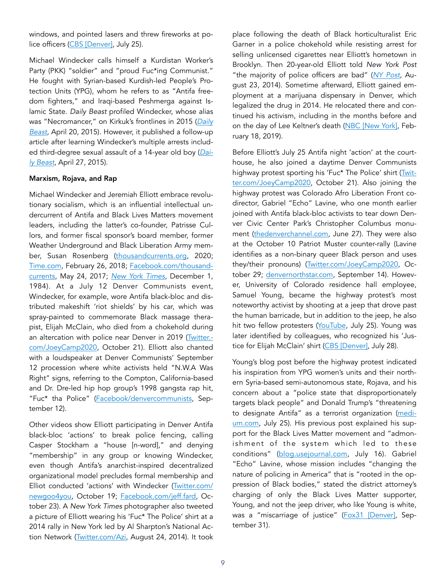windows, and pointed lasers and threw fireworks at po-lice officers [\(CBS \[Denver\]](https://denver.cbslocal.com/2020/07/25/aurora-police-protesters-break-windows-start-fire-courthouse/), July 25).

Michael Windecker calls himself a Kurdistan Worker's Party (PKK) "soldier" and "proud Fuc\*ing Communist." He fought with Syrian-based Kurdish-led People's Protection Units (YPG), whom he refers to as "Antifa freedom fighters," and Iraqi-based Peshmerga against Islamic State. *Daily Beast* profiled Windecker, whose alias was "Necromancer," on Kirkuk's frontlines in 2015 (*[Daily](https://www.thedailybeast.com/a-colorado-biker-who-calls-himself-necromancer-is-fighting-isis-in-iraq)  [Beast,](https://www.thedailybeast.com/a-colorado-biker-who-calls-himself-necromancer-is-fighting-isis-in-iraq)* April 20, 2015). However, it published a follow-up article after learning Windecker's multiple arrests included third-degree sexual assault of a 14-year old boy (*[Dai](https://www.thedailybeast.com/an-american-fighting-isis-is-convicted-sex-offender)[ly Beast](https://www.thedailybeast.com/an-american-fighting-isis-is-convicted-sex-offender)*, April 27, 2015).

#### Marxism, Rojava, and Rap

Michael Windecker and Jeremiah Elliott embrace revolutionary socialism, which is an influential intellectual undercurrent of Antifa and Black Lives Matters movement leaders, including the latter's co-founder, Patrisse Cullors, and former fiscal sponsor's board member, former Weather Underground and Black Liberation Army member, Susan Rosenberg [\(thousandcurrents.org,](https://thousandcurrents.org/black-lives-matter/) 2020; [Time.com](https://time.com/5171270/black-lives-matter-patrisse-cullors/), February 26, 2018; [Facebook.com/thousand](https://www.facebook.com/thousandcurrents/posts/we-are-so-grateful-for-our-community-today-we-want-to-hold-and-raise-a-few-parti/10155080437811328/)[currents,](https://www.facebook.com/thousandcurrents/posts/we-are-so-grateful-for-our-community-today-we-want-to-hold-and-raise-a-few-parti/10155080437811328/) May 24, 2017; *[New York Times](https://www.nytimes.com/1984/12/01/nyregion/radical-fugitive-in-brink-s-robbery-arrested.html)*, December 1, 1984). At a July 12 Denver Communists event, Windecker, for example, wore Antifa black-bloc and distributed makeshift 'riot shields' by his car, which was spray-painted to commemorate Black massage therapist, Elijah McClain, who died from a chokehold during an altercation with police near Denver in 2019 ([Twitter.](https://twitter.com/JoeyCamp2020/status/1318971234558877696) [com/JoeyCamp2020](https://twitter.com/JoeyCamp2020/status/1318971234558877696), October 21). Elliott also chanted with a loudspeaker at Denver Communists' September 12 procession where white activists held "N.W.A Was Right" signs, referring to the Compton, California-based and Dr. Dre-led hip hop group's 1998 gangsta rap hit, "Fuc\* tha Police" ([Facebook/denvercommunists](https://archive.is/1YQgt), September 12).

Other videos show Elliott participating in Denver Antifa black-bloc 'actions' to break police fencing, calling Casper Stockham a "house [n-word]," and denying "membership" in any group or knowing Windecker, even though Antifa's anarchist-inspired decentralized organizational model precludes formal membership and Elliot conducted 'actions' with Windecker [\(Twitter.com/](https://twitter.com/newgoo4you/status/1318718729174343681) [newgoo4you](https://twitter.com/newgoo4you/status/1318718729174343681), October 19; [Facebook.com/jeff.fard](https://www.facebook.com/jeff.fard/videos/4974059239278511/?extid=0&d=n), October 23). A *New York Times* photographer also tweeted a picture of Elliott wearing his 'Fuc\* The Police' shirt at a 2014 rally in New York led by Al Sharpton's National Action Network ([Twitter.com/Azi,](https://twitter.com/Azi/status/503237196934307841) August 24, 2014). It took

place following the death of Black horticulturalist Eric Garner in a police chokehold while resisting arrest for selling unlicensed cigarettes near Elliott's hometown in Brooklyn. Then 20-year-old Elliott told *New York Post*  "the majority of police officers are bad" (*[NY Post](https://nypost.com/2014/08/23/thousands-march-to-protest-police-death-of-eric-garner/)*, August 23, 2014). Sometime afterward, Elliott gained employment at a marijuana dispensary in Denver, which legalized the drug in 2014. He relocated there and continued his activism, including in the months before and on the day of Lee Keltner's death ([NBC \[New York\],](https://www.youtube.com/watch?v=JpXH77skyMo) February 18, 2019).

Before Elliott's July 25 Antifa night 'action' at the courthouse, he also joined a daytime Denver Communists highway protest sporting his 'Fuc\* The Police' shirt [\(Twit](https://twitter.com/JoeyCamp2020/status/1318920428908326913)[ter.com/JoeyCamp2020,](https://twitter.com/JoeyCamp2020/status/1318920428908326913) October 21). Also joining the highway protest was Colorado Afro Liberation Front codirector, Gabriel "Echo" Lavine, who one month earlier joined with Antifa black-bloc activists to tear down Denver Civic Center Park's Christopher Columbus monument ([thedenverchannel.com,](https://www.thedenverchannel.com/news/local-news/statue-titled-in-honor-of-christopher-columbus-torn-down-overnight-in-denvers-civic-center-park) June 27). They were also at the October 10 Patriot Muster counter-rally (Lavine identifies as a non-binary queer Black person and uses they/their pronouns) ([Twitter.com/JoeyCamp2020,](https://twitter.com/JoeyCamp2020/status/1317982852814753793) October 29; [denvernorthstar.com](https://www.denvernorthstar.com/afro-liberation-front-responds-to-comments-actions-by-city-council/), September 14). However, University of Colorado residence hall employee, Samuel Young, became the highway protest's most noteworthy activist by shooting at a jeep that drove past the human barricade, but in addition to the jeep, he also hit two fellow protesters [\(YouTube,](https://www.youtube.com/watch?v=GYHhiNbNazg) July 25). Young was later identified by colleagues, who recognized his 'Justice for Elijah McClain' shirt ([CBS \[Denver\],](https://denver.cbslocal.com/2020/07/28/most-reckless-thing-samuel-young-charged-in-protest-shooting) July 28).

Young's blog post before the highway protest indicated his inspiration from YPG women's units and their northern Syria-based semi-autonomous state, Rojava, and his concern about a "police state that disproportionately targets black people" and Donald Trump's "threatening to designate Antifa" as a terrorist organization [\(medi](https://medium.com/@amtoyumtimmy/it-could-happen-here-ccacab7e8218)[um.com](https://medium.com/@amtoyumtimmy/it-could-happen-here-ccacab7e8218), July 25). His previous post explained his support for the Black Lives Matter movement and "admonishment of the system which led to these conditions" ([blog.usejournal.com](https://blog.usejournal.com/if-black-lives-matter-why-doesnt-the-black-community-protect-them-7271e2395e7), July 16). Gabriel "Echo" Lavine, whose mission includes "changing the nature of policing in America" that is "rooted in the oppression of Black bodies," stated the district attorney's charging of only the Black Lives Matter supporter, Young, and not the jeep driver, who like Young is white, was a "miscarriage of justice" ([Fox31 \[Denver\],](https://kdvr.com/news/local/watch-live-at-10-a-m-district-attorney-brauchler-speaking/) September 31).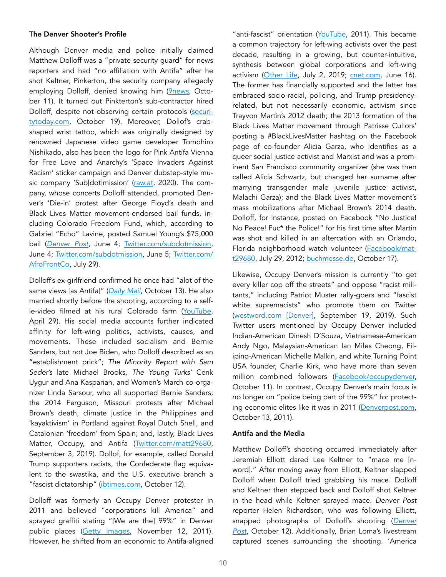### The Denver Shooter's Profile

Although Denver media and police initially claimed Matthew Dolloff was a "private security guard" for news reporters and had "no affiliation with Antifa" after he shot Keltner, Pinkerton, the security company allegedly employing Dolloff, denied knowing him [\(9news,](https://www.9news.com/article/news/crime/security-guard-held-denver-shooting-wasnt-licensed-officials-say/73-648ca0f2-cc71-4fa7-b145-cbd710b87f5f) October 11). It turned out Pinkterton's sub-contractor hired Dolloff, despite not observing certain protocols [\(securi](https://securitytoday.com/articles/2020/10/19/denver-tv-station-security-guard-charged-with-murder.aspx?m=1)[tytoday.com](https://securitytoday.com/articles/2020/10/19/denver-tv-station-security-guard-charged-with-murder.aspx?m=1), October 19). Moreover, Dollof's crabshaped wrist tattoo, which was originally designed by renowned Japanese video game developer Tomohiro Nishikado, also has been the logo for Pink Antifa Vienna for Free Love and Anarchy's 'Space Invaders Against Racism' sticker campaign and Denver dubstep-style music company 'Sub[dot]mission' ([raw.at](https://raw.at/materialien/), 2020). The company, whose concerts Dolloff attended, promoted Denver's 'Die-in' protest after George Floyd's death and Black Lives Matter movement-endorsed bail funds, including Colorado Freedom Fund, which, according to Gabriel "Echo" Lavine, posted Samuel Young's \$75,000 bail (*[Denver Post](https://www.denverpost.com/2020/06/04/denver-protests-live-updates-june-4-george-floyd/)*, June 4; [Twitter.com/subdotmission,](https://twitter.com/subdotmission/status/1268378766327156737) June 4; [Twitter.com/subdotmission,](https://twitter.com/subdotmission/status/1268761441043005447) June 5; [Twitter.com/](https://twitter.com/AfroFrontCo/status/1288211437186424835) [AfroFrontCo](https://twitter.com/AfroFrontCo/status/1288211437186424835), July 29).

Dolloff's ex-girlfriend confirmed he once had "alot of the same views [as Antifa]" (*[Daily Mail](https://www.dailymail.co.uk/news/article-8832341/Security-guard-Matthew-Dolloff-shot-Patriot-Muster-protester-attended-Occupy-Denver-rallies.html)*, October 13). He also married shortly before the shooting, according to a selfie-video filmed at his rural Colorado farm ([YouTube,](https://www.youtube.com/watch?v=E8JSu1YD0K4&feature=youtu.be) April 29). His social media accounts further indicated affinity for left-wing politics, activists, causes, and movements. These included socialism and Bernie Sanders, but not Joe Biden, who Dolloff described as an "establishment prick"; *The Minority Report with Sam Seder's* late Michael Brooks, *The Young Turks'* Cenk Uygur and Ana Kasparian, and Women's March co-organizer Linda Sarsour, who all supported Bernie Sanders; the 2014 Ferguson, Missouri protests after Michael Brown's death, climate justice in the Philippines and 'kayaktivism' in Portland against Royal Dutch Shell, and Catalonian 'freedom' from Spain; and, lastly, Black Lives Matter, Occupy, and Antifa ([Twitter.com/matt29680,](https://twitter.com/matt29680/status/1168874825626075136) September 3, 2019). Dollof, for example, called Donald Trump supporters racists, the Confederate flag equivalent to the swastika, and the U.S. executive branch a "fascist dictatorship" [\(ibtimes.com](https://www.ibtimes.sg/matthew-dolloff-denver-shooting-suspect-anti-trump-left-winger-who-wore-antifa-tattoo-52423), October 12).

Dolloff was formerly an Occupy Denver protester in 2011 and believed "corporations kill America" and sprayed graffiti stating "[We are the] 99%" in Denver public places [\(Getty Images](https://www.gettyimages.com/detail/news-photo/matt-dolloff-carries-an-american-flag-during-the-occupy-news-photo/161195292), November 12, 2011). However, he shifted from an economic to Antifa-aligned

"anti-fascist" orientation [\(YouTube,](https://www.youtube.com/watch?v=1yhtN9iMEbw&feature=youtu.be) 2011). This became a common trajectory for left-wing activists over the past decade, resulting in a growing, but counter-intuitive, synthesis between global corporations and left-wing activism [\(Other Life,](https://open.spotify.com/episode/4kyHRzm9WKDLfwZcNCQBPc?si=MAOsusI0SgmPkchaOuD2fQ) July 2, 2019; [cnet.com](https://www.cnet.com/how-to/companies-donating-black-lives-matter/), June 16). The former has financially supported and the latter has embraced socio-racial, policing, and Trump presidencyrelated, but not necessarily economic, activism since Trayvon Martin's 2012 death; the 2013 formation of the Black Lives Matter movement through Patrisse Cullors' posting a #BlackLivesMatter hashtag on the Facebook page of co-founder Alicia Garza, who identifies as a queer social justice activist and Marxist and was a prominent San Francisco community organizer (she was then called Alicia Schwartz, but changed her surname after marrying transgender male juvenile justice activist, Malachi Garza); and the Black Lives Matter movement's mass mobilizations after Michael Brown's 2014 death. Dolloff, for instance, posted on Facebook "No Justice! No Peace! Fuc\* the Police!" for his first time after Martin was shot and killed in an altercation with an Orlando, Florida neighborhood watch volunteer [\(Facebook/](https://www.facebook.com/profile/1586304789/search/?q=justice)matt29680, July 29, 2012; [buchmesse.de,](https://www.buchmesse.de/en/node/354729) October 17).

Likewise, Occupy Denver's mission is currently "to get every killer cop off the streets" and oppose "racist militants," including Patriot Muster rally-goers and "fascist white supremacists" who promote them on Twitter ([westword.com \[Denver\],](https://www.westword.com/news/extinction-rebellion-trial-delayed-after-activists-tainted-jury-two-arrested-11580158) September 19, 2019). Such Twitter users mentioned by Occupy Denver included Indian-American Dinesh D'Souza, Vietnamese-American Andy Ngo, Malaysian-American Ian Miles Cheong, Filipino-American Michelle Malkin, and white Turning Point USA founder, Charlie Kirk, who have more than seven million combined followers ([Facebook/occupydenver,](https://www.facebook.com/occupydenver/posts/posted-without-source-for-safetycant-sleeeeep-and-been-following-this-denver-sho/3185604544882408/) October 11). In contrast, Occupy Denver's main focus is no longer on "police being part of the 99%" for protecting economic elites like it was in 2011 [\(Denverpost.com](https://www.denverpost.com/2011/10/13/at-occupy-denver-protest-crowds-and-officers-thin-as-morning-turns-to-afternoon/), October 13, 2011).

### Antifa and the Media

Matthew Dolloff's shooting occurred immediately after Jeremiah Elliott dared Lee Keltner to "mace me [nword]." After moving away from Elliott, Keltner slapped Dolloff when Dolloff tried grabbing his mace. Dolloff and Keltner then stepped back and Dolloff shot Keltner in the head while Keltner sprayed mace. *Denver Post* reporter Helen Richardson, who was following Elliott, snapped photographs of Dolloff's shooting (*[Denver](https://www.denverpost.com/2020/10/12/denver-protest-shooting-photos-full-sequence/?utm_content=tw-denverpost&utm_source=twitter.com&utm_campaign=socialflow&utm_medium=social) [Post](https://www.denverpost.com/2020/10/12/denver-protest-shooting-photos-full-sequence/?utm_content=tw-denverpost&utm_source=twitter.com&utm_campaign=socialflow&utm_medium=social)*, October 12). Additionally, Brian Loma's livestream captured scenes surrounding the shooting. 'America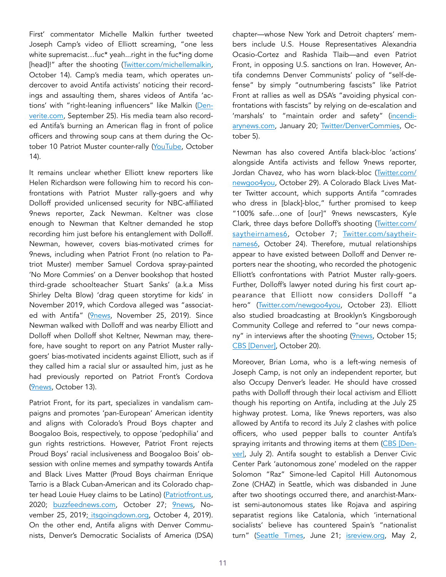First' commentator Michelle Malkin further tweeted Joseph Camp's video of Elliott screaming, "one less white supremacist...fuc\* yeah...right in the fuc\*ing dome [head]!" after the shooting [\(Twitter.com/michellemalkin,](https://twitter.com/michellemalkin/status/1316176456590876673) October 14). Camp's media team, which operates undercover to avoid Antifa activists' noticing their recordings and assaulting them, shares videos of Antifa 'actions' with "right-leaning influencers" like Malkin ([Den](https://denverite.com/2020/09/25/livestreamer-says-he-hired-men-stopped-with-guns-at-denver-protest/)[verite.com](https://denverite.com/2020/09/25/livestreamer-says-he-hired-men-stopped-with-guns-at-denver-protest/), September 25). His media team also recorded Antifa's burning an American flag in front of police officers and throwing soup cans at them during the October 10 Patriot Muster counter-rally ([YouTube](https://www.youtube.com/watch?v=_jatP38huX4), October 14).

It remains unclear whether Elliott knew reporters like Helen Richardson were following him to record his confrontations with Patriot Muster rally-goers and why Dolloff provided unlicensed security for NBC-affiliated 9news reporter, Zack Newman. Keltner was close enough to Newman that Keltner demanded he stop recording him just before his entanglement with Dolloff. Newman, however, covers bias-motivated crimes for 9news, including when Patriot Front (no relation to Patriot Muster) member Samuel Cordova spray-painted 'No More Commies' on a Denver bookshop that hosted third-grade schoolteacher Stuart Sanks' (a.k.a Miss Shirley Delta Blow) 'drag queen storytime for kids' in November 2019, which Cordova alleged was "associat-ed with Antifa" [\(9news](https://www.9news.com/article/news/investigations/colorado-hate-crimes-white-supremacist-groups/73-b6efb98a-2127-4b17-87c1-ca773c7b11ee), November 25, 2019). Since Newman walked with Dolloff and was nearby Elliott and Dolloff when Dolloff shot Keltner, Newman may, therefore, have sought to report on any Patriot Muster rallygoers' bias-motivated incidents against Elliott, such as if they called him a racial slur or assaulted him, just as he had previously reported on Patriot Front's Cordova ([9news,](https://www.9news.com/article/news/crime/unlicensed-security-guard-matthew-dolloff-shooting-probable-cause-statement/73-a5a0a0e9-11b1-4d7d-972d-7b2a25fd1173) October 13).

Patriot Front, for its part, specializes in vandalism campaigns and promotes 'pan-European' American identity and aligns with Colorado's Proud Boys chapter and Boogaloo Bois, respectively, to oppose 'pedophilia' and gun rights restrictions. However, Patriot Front rejects Proud Boys' racial inclusiveness and Boogaloo Bois' obsession with online memes and sympathy towards Antifa and Black Lives Matter (Proud Boys chairman Enrique Tarrio is a Black Cuban-American and its Colorado chapter head Louie Huey claims to be Latino) [\(Patriotfront.us,](https://patriotfront.us/manifesto/) 2020; [buzzfeednews.com,](https://www.buzzfeednews.com/article/janelytvynenko/patriot-front-preparing-after-trump?bftwnews&utm_term=4ldqpgc%22%20%5Cl%20%224ldqpgc) October 27; [9news](https://www.9news.com/article/news/investigations/colorado-hate-crimes-white-supremacist-groups/73-b6efb98a-2127-4b17-87c1-ca773c7b11ee?fbclid=IwAR1JD9q6bXdwC58IjkNJj8yafAB5c04L_tfvOJR3iPE8R7veyYDmEVasCxs), No-vember 25, 2019[; itsgoingdown.org](https://itsgoingdown.org/our-friends-from-twp-proud-boys-march-with-neo-nazis-in-denver-community-mobilizes/), October 4, 2019). On the other end, Antifa aligns with Denver Communists, Denver's Democratic Socialists of America (DSA)

chapter—whose New York and Detroit chapters' members include U.S. House Representatives Alexandria Ocasio-Cortez and Rashida Tlaib—and even Patriot Front, in opposing U.S. sanctions on Iran. However, Antifa condemns Denver Communists' policy of "self-defense" by simply "outnumbering fascists" like Patriot Front at rallies as well as DSA's "avoiding physical confrontations with fascists" by relying on de-escalation and 'marshals' to "maintain order and safety" [\(incendi](https://incendiarynews.com/2020/01/30/denver-psl-and-dsa-allow-fascists-at-anti-war-rally/)[arynews.com](https://incendiarynews.com/2020/01/30/denver-psl-and-dsa-allow-fascists-at-anti-war-rally/), January 20; [Twitter/DenverCommies,](https://twitter.com/DenverCommies/status/1312930961311629312) October 5).

Newman has also covered Antifa black-bloc 'actions' alongside Antifa activists and fellow 9news reporter, Jordan Chavez, who has worn black-bloc [\(Twitter.com/](https://twitter.com/newgoo4you/status/1321631914625814528) [newgoo4you](https://twitter.com/newgoo4you/status/1321631914625814528), October 29). A Colorado Black Lives Matter Twitter account, which supports Antifa "comrades who dress in [black]-bloc," further promised to keep "100% safe…one of [our]" 9news newscasters, Kyle Clark, three days before Dolloff's shooting [\(Twitter.com/](https://twitter.com/saytheirnames6/status/1313911146810732544) [saytheirnames6,](https://twitter.com/saytheirnames6/status/1313911146810732544) October 7; [Twitter.com/saytheir](https://twitter.com/saytheirnames6/status/1319794266659409920)[names6,](https://twitter.com/saytheirnames6/status/1319794266659409920) October 24). Therefore, mutual relationships appear to have existed between Dolloff and Denver reporters near the shooting, who recorded the photogenic Elliott's confrontations with Patriot Muster rally-goers. Further, Dolloff's lawyer noted during his first court appearance that Elliott now considers Dolloff "a hero" ([Twitter.com/newgoo4you](https://twitter.com/newgoo4you/status/1319813672450117632), October 23). Elliott also studied broadcasting at Brooklyn's Kingsborough Community College and referred to "our news compa-ny" in interviews after the shooting [\(9news](https://www.9news.com/video/news/local/security-guard-shooting/lee-keltner-shooting-witness-interview/73-92674aa1-ecd0-40d2-973e-b9d4fa0cf8ba), October 15; [CBS \[Denver\]](https://denver.cbslocal.com/2020/10/20/lee-keltner-shooting-jeremiah-elliott-death-argument-matthew-doloff/), October 20).

Moreover, Brian Loma, who is a left-wing nemesis of Joseph Camp, is not only an independent reporter, but also Occupy Denver's leader. He should have crossed paths with Dolloff through their local activism and Elliott though his reporting on Antifa, including at the July 25 highway protest. Loma, like 9news reporters, was also allowed by Antifa to record its July 2 clashes with police officers, who used pepper balls to counter Antifa's spraying irritants and throwing items at them ([CBS \[Den](https://denver.cbslocal.com/2020/07/02/denver-police-protests-civic-center-park-arrests-violence/)[ver\],](https://denver.cbslocal.com/2020/07/02/denver-police-protests-civic-center-park-arrests-violence/) July 2). Antifa sought to establish a Denver Civic Center Park 'autonomous zone' modeled on the rapper Solomon "Raz" Simone-led Capitol Hill Autonomous Zone (CHAZ) in Seattle, which was disbanded in June after two shootings occurred there, and anarchist-Marxist semi-autonomous states like Rojava and aspiring separatist regions like Catalonia, which 'international socialists' believe has countered Spain's "nationalist turn" ([Seattle Times](https://www.seattletimes.com/seattle-news/crime/after-chop-shooting-activists-and-officials-look-for-ways-to-prevent-protest-zone-violence/), June 21; [isreview.org](https://isreview.org/issue/110/should-socialists-support-catalonias-independence-movement), May 2,